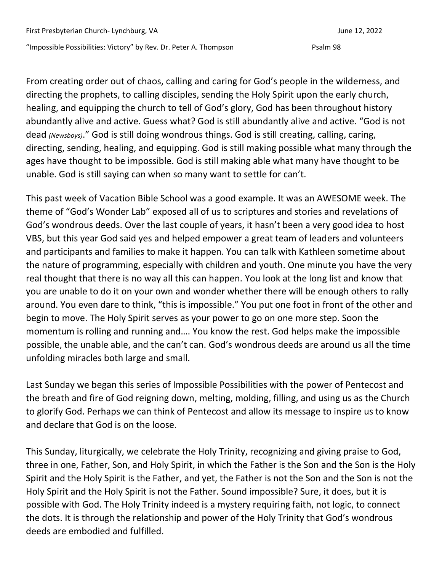"Impossible Possibilities: Victory" by Rev. Dr. Peter A. Thompson Psalm 98

From creating order out of chaos, calling and caring for God's people in the wilderness, and directing the prophets, to calling disciples, sending the Holy Spirit upon the early church, healing, and equipping the church to tell of God's glory, God has been throughout history abundantly alive and active. Guess what? God is still abundantly alive and active. "God is not dead *(Newsboys)*." God is still doing wondrous things. God is still creating, calling, caring, directing, sending, healing, and equipping. God is still making possible what many through the ages have thought to be impossible. God is still making able what many have thought to be unable. God is still saying can when so many want to settle for can't.

This past week of Vacation Bible School was a good example. It was an AWESOME week. The theme of "God's Wonder Lab" exposed all of us to scriptures and stories and revelations of God's wondrous deeds. Over the last couple of years, it hasn't been a very good idea to host VBS, but this year God said yes and helped empower a great team of leaders and volunteers and participants and families to make it happen. You can talk with Kathleen sometime about the nature of programming, especially with children and youth. One minute you have the very real thought that there is no way all this can happen. You look at the long list and know that you are unable to do it on your own and wonder whether there will be enough others to rally around. You even dare to think, "this is impossible." You put one foot in front of the other and begin to move. The Holy Spirit serves as your power to go on one more step. Soon the momentum is rolling and running and…. You know the rest. God helps make the impossible possible, the unable able, and the can't can. God's wondrous deeds are around us all the time unfolding miracles both large and small.

Last Sunday we began this series of Impossible Possibilities with the power of Pentecost and the breath and fire of God reigning down, melting, molding, filling, and using us as the Church to glorify God. Perhaps we can think of Pentecost and allow its message to inspire us to know and declare that God is on the loose.

This Sunday, liturgically, we celebrate the Holy Trinity, recognizing and giving praise to God, three in one, Father, Son, and Holy Spirit, in which the Father is the Son and the Son is the Holy Spirit and the Holy Spirit is the Father, and yet, the Father is not the Son and the Son is not the Holy Spirit and the Holy Spirit is not the Father. Sound impossible? Sure, it does, but it is possible with God. The Holy Trinity indeed is a mystery requiring faith, not logic, to connect the dots. It is through the relationship and power of the Holy Trinity that God's wondrous deeds are embodied and fulfilled.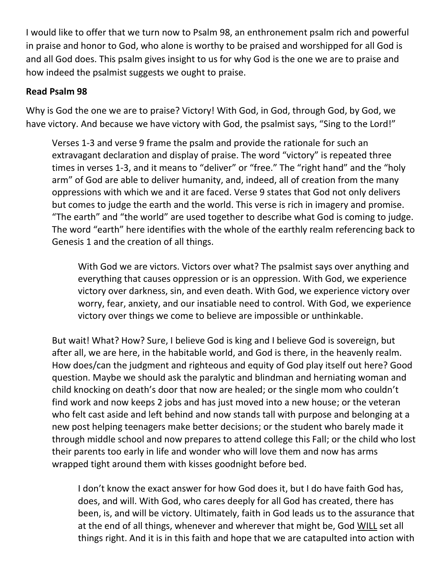I would like to offer that we turn now to Psalm 98, an enthronement psalm rich and powerful in praise and honor to God, who alone is worthy to be praised and worshipped for all God is and all God does. This psalm gives insight to us for why God is the one we are to praise and how indeed the psalmist suggests we ought to praise.

## **Read Psalm 98**

Why is God the one we are to praise? Victory! With God, in God, through God, by God, we have victory. And because we have victory with God, the psalmist says, "Sing to the Lord!"

Verses 1-3 and verse 9 frame the psalm and provide the rationale for such an extravagant declaration and display of praise. The word "victory" is repeated three times in verses 1-3, and it means to "deliver" or "free." The "right hand" and the "holy arm" of God are able to deliver humanity, and, indeed, all of creation from the many oppressions with which we and it are faced. Verse 9 states that God not only delivers but comes to judge the earth and the world. This verse is rich in imagery and promise. "The earth" and "the world" are used together to describe what God is coming to judge. The word "earth" here identifies with the whole of the earthly realm referencing back to Genesis 1 and the creation of all things.

With God we are victors. Victors over what? The psalmist says over anything and everything that causes oppression or is an oppression. With God, we experience victory over darkness, sin, and even death. With God, we experience victory over worry, fear, anxiety, and our insatiable need to control. With God, we experience victory over things we come to believe are impossible or unthinkable.

But wait! What? How? Sure, I believe God is king and I believe God is sovereign, but after all, we are here, in the habitable world, and God is there, in the heavenly realm. How does/can the judgment and righteous and equity of God play itself out here? Good question. Maybe we should ask the paralytic and blindman and herniating woman and child knocking on death's door that now are healed; or the single mom who couldn't find work and now keeps 2 jobs and has just moved into a new house; or the veteran who felt cast aside and left behind and now stands tall with purpose and belonging at a new post helping teenagers make better decisions; or the student who barely made it through middle school and now prepares to attend college this Fall; or the child who lost their parents too early in life and wonder who will love them and now has arms wrapped tight around them with kisses goodnight before bed.

I don't know the exact answer for how God does it, but I do have faith God has, does, and will. With God, who cares deeply for all God has created, there has been, is, and will be victory. Ultimately, faith in God leads us to the assurance that at the end of all things, whenever and wherever that might be, God WILL set all things right. And it is in this faith and hope that we are catapulted into action with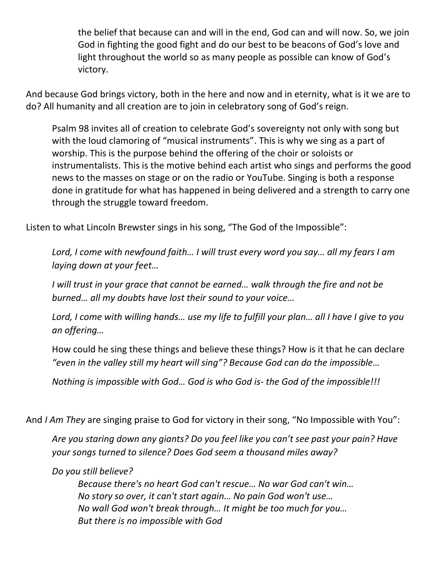the belief that because can and will in the end, God can and will now. So, we join God in fighting the good fight and do our best to be beacons of God's love and light throughout the world so as many people as possible can know of God's victory.

And because God brings victory, both in the here and now and in eternity, what is it we are to do? All humanity and all creation are to join in celebratory song of God's reign.

Psalm 98 invites all of creation to celebrate God's sovereignty not only with song but with the loud clamoring of "musical instruments". This is why we sing as a part of worship. This is the purpose behind the offering of the choir or soloists or instrumentalists. This is the motive behind each artist who sings and performs the good news to the masses on stage or on the radio or YouTube. Singing is both a response done in gratitude for what has happened in being delivered and a strength to carry one through the struggle toward freedom.

Listen to what Lincoln Brewster sings in his song, "The God of the Impossible":

*Lord, I come with newfound faith… I will trust every word you say… all my fears I am laying down at your feet…*

*I will trust in your grace that cannot be earned… walk through the fire and not be burned… all my doubts have lost their sound to your voice…*

*Lord, I come with willing hands… use my life to fulfill your plan… all I have I give to you an offering…*

How could he sing these things and believe these things? How is it that he can declare *"even in the valley still my heart will sing"? Because God can do the impossible…*

*Nothing is impossible with God… God is who God is- the God of the impossible!!!*

And *I Am They* are singing praise to God for victory in their song, "No Impossible with You":

*Are you staring down any giants? Do you feel like you can't see past your pain? Have your songs turned to silence? Does God seem a thousand miles away?*

*Do you still believe?*

*Because there's no heart God can't rescue… No war God can't win… No story so over, it can't start again… No pain God won't use… No wall God won't break through… It might be too much for you… But there is no impossible with God*